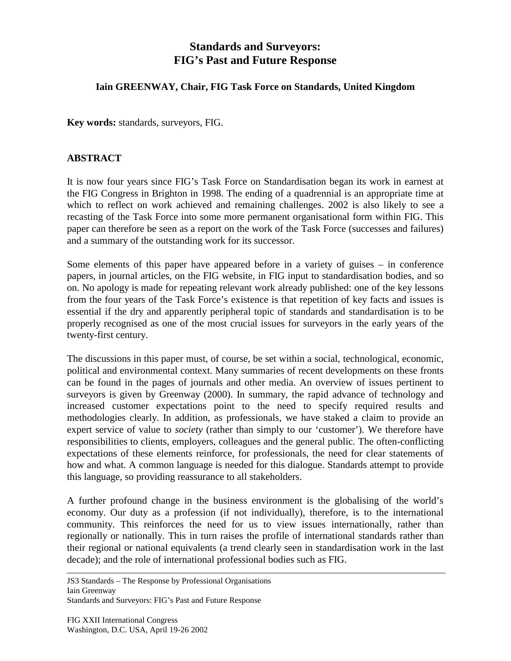## **Standards and Surveyors: FIG's Past and Future Response**

## **Iain GREENWAY, Chair, FIG Task Force on Standards, United Kingdom**

**Key words:** standards, surveyors, FIG.

## **ABSTRACT**

It is now four years since FIG's Task Force on Standardisation began its work in earnest at the FIG Congress in Brighton in 1998. The ending of a quadrennial is an appropriate time at which to reflect on work achieved and remaining challenges. 2002 is also likely to see a recasting of the Task Force into some more permanent organisational form within FIG. This paper can therefore be seen as a report on the work of the Task Force (successes and failures) and a summary of the outstanding work for its successor.

Some elements of this paper have appeared before in a variety of guises – in conference papers, in journal articles, on the FIG website, in FIG input to standardisation bodies, and so on. No apology is made for repeating relevant work already published: one of the key lessons from the four years of the Task Force's existence is that repetition of key facts and issues is essential if the dry and apparently peripheral topic of standards and standardisation is to be properly recognised as one of the most crucial issues for surveyors in the early years of the twenty-first century.

The discussions in this paper must, of course, be set within a social, technological, economic, political and environmental context. Many summaries of recent developments on these fronts can be found in the pages of journals and other media. An overview of issues pertinent to surveyors is given by Greenway (2000). In summary, the rapid advance of technology and increased customer expectations point to the need to specify required results and methodologies clearly. In addition, as professionals, we have staked a claim to provide an expert service of value to *society* (rather than simply to our 'customer'). We therefore have responsibilities to clients, employers, colleagues and the general public. The often-conflicting expectations of these elements reinforce, for professionals, the need for clear statements of how and what. A common language is needed for this dialogue. Standards attempt to provide this language, so providing reassurance to all stakeholders.

A further profound change in the business environment is the globalising of the world's economy. Our duty as a profession (if not individually), therefore, is to the international community. This reinforces the need for us to view issues internationally, rather than regionally or nationally. This in turn raises the profile of international standards rather than their regional or national equivalents (a trend clearly seen in standardisation work in the last decade); and the role of international professional bodies such as FIG.

JS3 Standards – The Response by Professional Organisations Iain Greenway

Standards and Surveyors: FIG's Past and Future Response